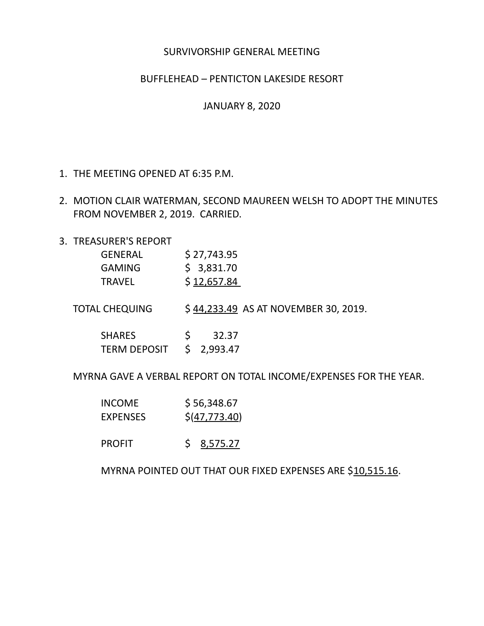## SURVIVORSHIP GENERAL MEETING

## BUFFLEHEAD – PENTICTON LAKESIDE RESORT

JANUARY 8, 2020

- 1. THE MEETING OPENED AT 6:35 P.M.
- 2. MOTION CLAIR WATERMAN, SECOND MAUREEN WELSH TO ADOPT THE MINUTES FROM NOVEMBER 2, 2019. CARRIED.
- 3. TREASURER'S REPORT

| <b>GENERAL</b>                       | \$27,743.95                          |
|--------------------------------------|--------------------------------------|
| <b>GAMING</b>                        | \$3,831.70                           |
| <b>TRAVEL</b>                        | \$12,657.84                          |
| TOTAL CHEQUING                       | \$44,233.49 AS AT NOVEMBER 30, 2019. |
| <b>SHARES</b><br><b>TERM DEPOSIT</b> | 32.37<br>2,993.47                    |

MYRNA GAVE A VERBAL REPORT ON TOTAL INCOME/EXPENSES FOR THE YEAR.

| <b>INCOME</b>   | \$56,348.67                |
|-----------------|----------------------------|
| <b>EXPENSES</b> | $$(\underline{47,773.40})$ |

PROFIT \$ 8,575.27

MYRNA POINTED OUT THAT OUR FIXED EXPENSES ARE \$10,515.16.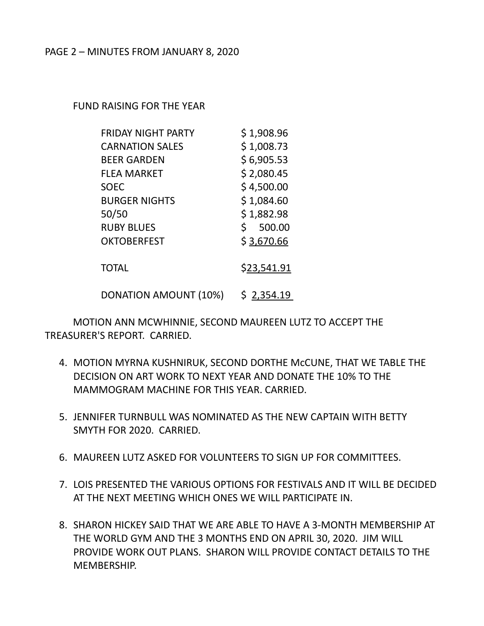FUND RAISING FOR THE YEAR

| <b>FRIDAY NIGHT PARTY</b> | \$1,908.96   |
|---------------------------|--------------|
| <b>CARNATION SALES</b>    | \$1,008.73   |
| <b>BEER GARDEN</b>        | \$6,905.53   |
| <b>FLEA MARKET</b>        | \$2,080.45   |
| <b>SOEC</b>               | \$4,500.00   |
| <b>BURGER NIGHTS</b>      | \$1,084.60   |
| 50/50                     | \$1,882.98   |
| <b>RUBY BLUES</b>         | Ś.<br>500.00 |
| <b>OKTOBERFEST</b>        | \$3,670.66   |
| <b>TOTAL</b>              | \$23,541.91  |

DONATION AMOUNT (10%) \$ 2,354.19

MOTION ANN MCWHINNIE, SECOND MAUREEN LUTZ TO ACCEPT THE TREASURER'S REPORT. CARRIED.

- 4. MOTION MYRNA KUSHNIRUK, SECOND DORTHE McCUNE, THAT WE TABLE THE DECISION ON ART WORK TO NEXT YEAR AND DONATE THE 10% TO THE MAMMOGRAM MACHINE FOR THIS YEAR. CARRIED.
- 5. JENNIFER TURNBULL WAS NOMINATED AS THE NEW CAPTAIN WITH BETTY SMYTH FOR 2020. CARRIED.
- 6. MAUREEN LUTZ ASKED FOR VOLUNTEERS TO SIGN UP FOR COMMITTEES.
- 7. LOIS PRESENTED THE VARIOUS OPTIONS FOR FESTIVALS AND IT WILL BE DECIDED AT THE NEXT MEETING WHICH ONES WE WILL PARTICIPATE IN.
- 8. SHARON HICKEY SAID THAT WE ARE ABLE TO HAVE A 3-MONTH MEMBERSHIP AT THE WORLD GYM AND THE 3 MONTHS END ON APRIL 30, 2020. JIM WILL PROVIDE WORK OUT PLANS. SHARON WILL PROVIDE CONTACT DETAILS TO THE MEMBERSHIP.